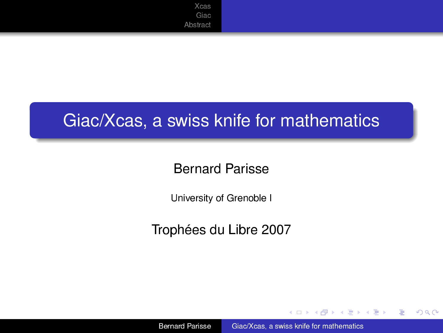# Giac/Xcas, a swiss knife for mathematics

### Bernard Parisse

University of Grenoble I

Trophées du Libre 2007

4 伊 ▶

4 0 8

→ 重き 4重き

<span id="page-0-0"></span>÷.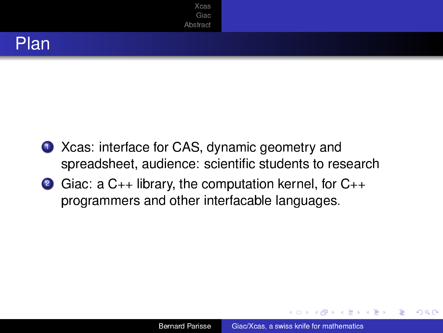



- 1 Xcas: interface for CAS, dynamic geometry and spreadsheet, audience: scientific students to research
- <sup>2</sup> Giac: a C++ library, the computation kernel, for C++ programmers and other interfacable languages.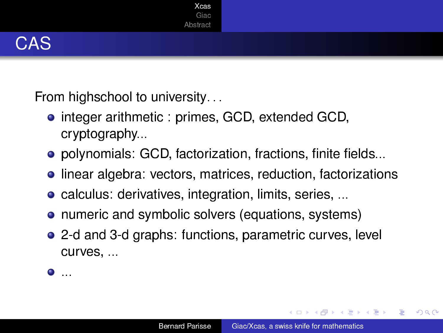

From highschool to university. . .

- **.** integer arithmetic: primes, GCD, extended GCD, cryptography...
- polynomials: GCD, factorization, fractions, finite fields...
- **.** linear algebra: vectors, matrices, reduction, factorizations
- **•** calculus: derivatives, integration, limits, series, ...
- **•** numeric and symbolic solvers (equations, systems)
- 2-d and 3-d graphs: functions, parametric curves, level curves, ...

 $\bullet$  . . .

K 何 ▶ K ヨ ▶ K ヨ ▶ ...

<span id="page-2-0"></span>ă,  $QQ$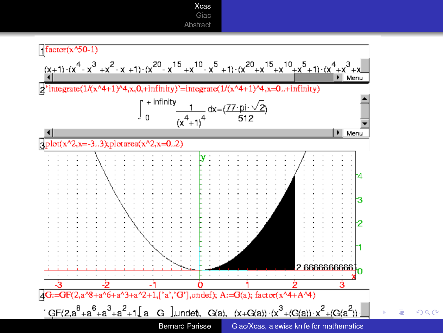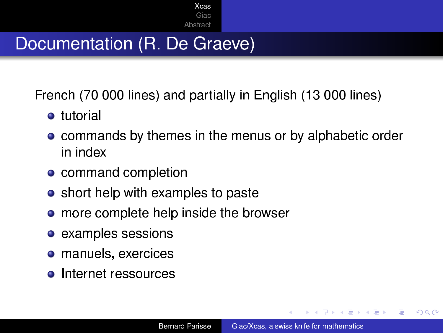# Documentation (R. De Graeve)

French (70 000 lines) and partially in English (13 000 lines)

- **o** tutorial
- **commands by themes in the menus or by alphabetic order** in index
- command completion
- short help with examples to paste
- more complete help inside the browser
- examples sessions
- **o** manuels, exercices
- **o** Internet ressources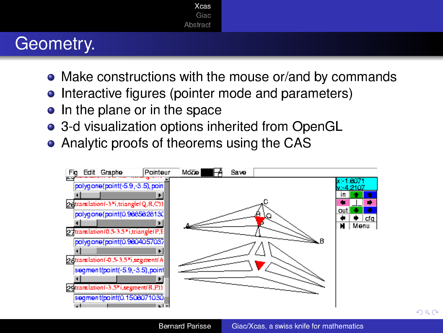### Geometry.

- Make constructions with the mouse or/and by commands
- Interactive figures (pointer mode and parameters)
- In the plane or in the space
- 3-d visualization options inherited from OpenGL
- Analytic proofs of theorems using the CAS

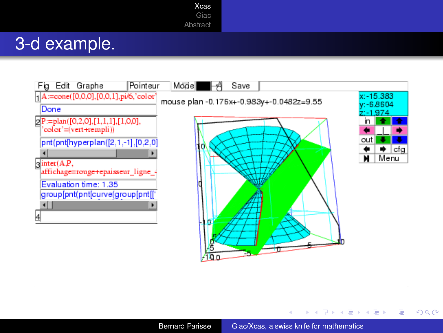#### [Xcas](#page-2-0) [Giac](#page-11-0)

#### [Abstract](#page-16-0)

### 3-d example.



**K ロ ト K 何 ト K ヨ ト K ヨ ト** 

÷.

 $299$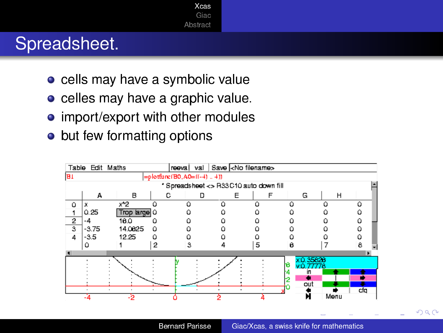# Spreadsheet.

- cells may have a symbolic value
- celles may have a graphic value.
- **•** import/export with other modules
- but few formatting options

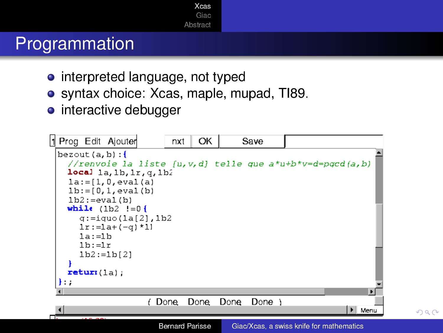# Programmation

- interpreted language, not typed
- syntax choice: Xcas, maple, mupad, TI89.
- **o** interactive debugger

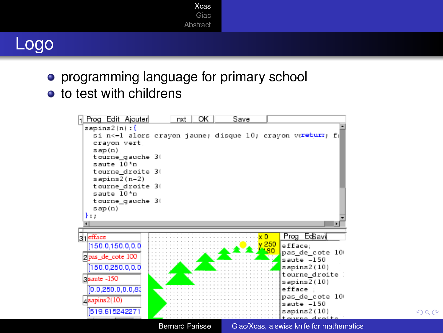### Logo

- **•** programming language for primary school
- **o** to test with childrens



 $299$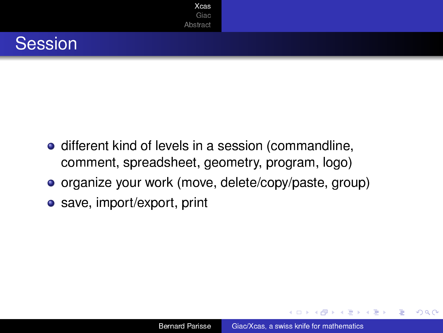



- **·** different kind of levels in a session (commandline, comment, spreadsheet, geometry, program, logo)
- organize your work (move, delete/copy/paste, group)
- save, import/export, print

4 重っ

B

 $QQ$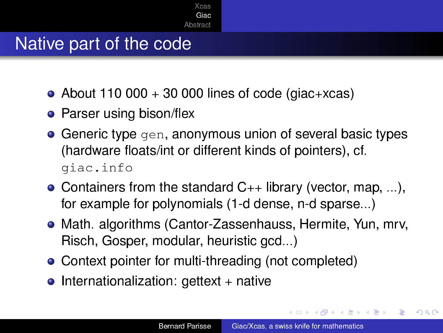### Native part of the code

- About 110 000 + 30 000 lines of code (giac+xcas)
- $\bullet$  Parser using bison/flex
- **Generic type** gen, anonymous union of several basic types (hardware floats/int or different kinds of pointers), cf. giac.info
- Containers from the standard  $C_{++}$  library (vector, map, ...), for example for polynomials (1-d dense, n-d sparse...)
- Math. algorithms (Cantor-Zassenhauss, Hermite, Yun, mrv, Risch, Gosper, modular, heuristic gcd...)
- Context pointer for multi-threading (not completed)
- $\bullet$  Internationalization: gettext + native

<span id="page-11-0"></span>ぼう メモト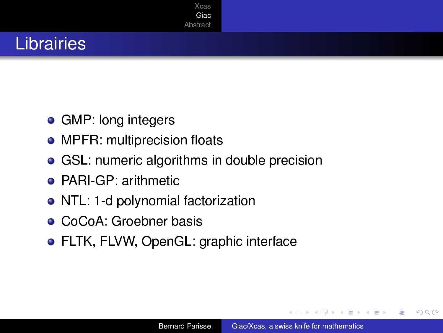# Librairies

- GMP: long integers
- MPFR: multiprecision floats
- **GSL: numeric algorithms in double precision**
- **PARI-GP: arithmetic**
- NTL: 1-d polynomial factorization
- **CoCoA: Groebner basis**
- FLTK, FLVW, OpenGL: graphic interface

 $QQ$ 

€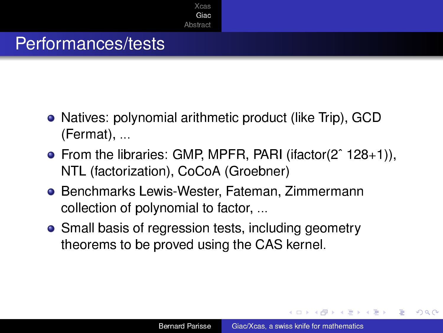# Performances/tests

- Natives: polynomial arithmetic product (like Trip), GCD (Fermat), ...
- From the libraries: GMP, MPFR, PARI (ifactor(2<sup>o</sup> 128+1)), NTL (factorization), CoCoA (Groebner)
- **Benchmarks Lewis-Wester, Fateman, Zimmermann** collection of polynomial to factor, ...
- Small basis of regression tests, including geometry theorems to be proved using the CAS kernel.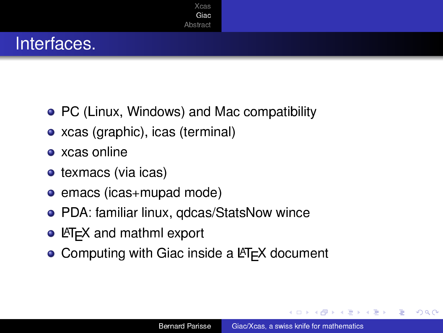# Interfaces.

- PC (Linux, Windows) and Mac compatibility
- xcas (graphic), icas (terminal)
- xcas online
- $\bullet$  texmacs (via icas)
- emacs (icas+mupad mode)
- PDA: familiar linux, qdcas/StatsNow wince
- $\bullet$  LAT<sub>F</sub>X and mathml export
- $\bullet$  Computing with Giac inside a LAT<sub>EX</sub> document

 $QQ$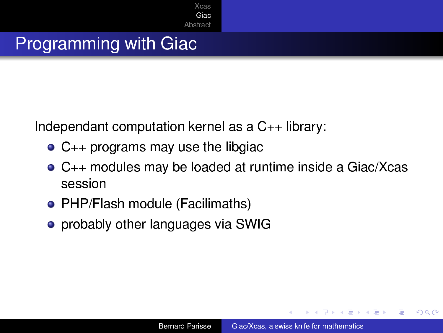# Programming with Giac

Independant computation kernel as a C++ library:

- C++ programs may use the libgiac
- C++ modules may be loaded at runtime inside a Giac/Xcas session
- PHP/Flash module (Facilimaths)
- probably other languages via SWIG